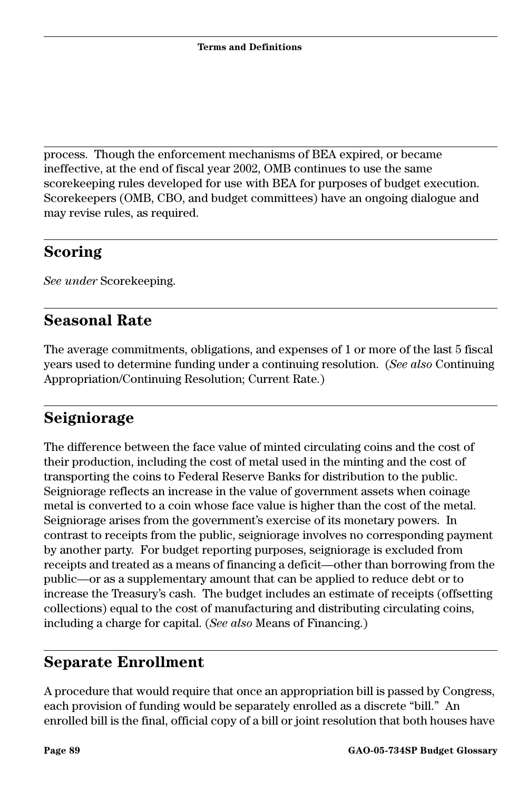process. Though the enforcement mechanisms of BEA expired, or became ineffective, at the end of fiscal year 2002, OMB continues to use the same scorekeeping rules developed for use with BEA for purposes of budget execution. Scorekeepers (OMB, CBO, and budget committees) have an ongoing dialogue and may revise rules, as required.

#### **Scoring**

*See under* Scorekeeping.

## **Seasonal Rate**

The average commitments, obligations, and expenses of 1 or more of the last 5 fiscal years used to determine funding under a continuing resolution. (*See also* Continuing Appropriation/Continuing Resolution; Current Rate.)

# **Seigniorage**

The difference between the face value of minted circulating coins and the cost of their production, including the cost of metal used in the minting and the cost of transporting the coins to Federal Reserve Banks for distribution to the public. Seigniorage reflects an increase in the value of government assets when coinage metal is converted to a coin whose face value is higher than the cost of the metal. Seigniorage arises from the government's exercise of its monetary powers. In contrast to receipts from the public, seigniorage involves no corresponding payment by another party. For budget reporting purposes, seigniorage is excluded from receipts and treated as a means of financing a deficit—other than borrowing from the public—or as a supplementary amount that can be applied to reduce debt or to increase the Treasury's cash. The budget includes an estimate of receipts (offsetting collections) equal to the cost of manufacturing and distributing circulating coins, including a charge for capital. (*See also* Means of Financing.)

## **Separate Enrollment**

A procedure that would require that once an appropriation bill is passed by Congress, each provision of funding would be separately enrolled as a discrete "bill." An enrolled bill is the final, official copy of a bill or joint resolution that both houses have